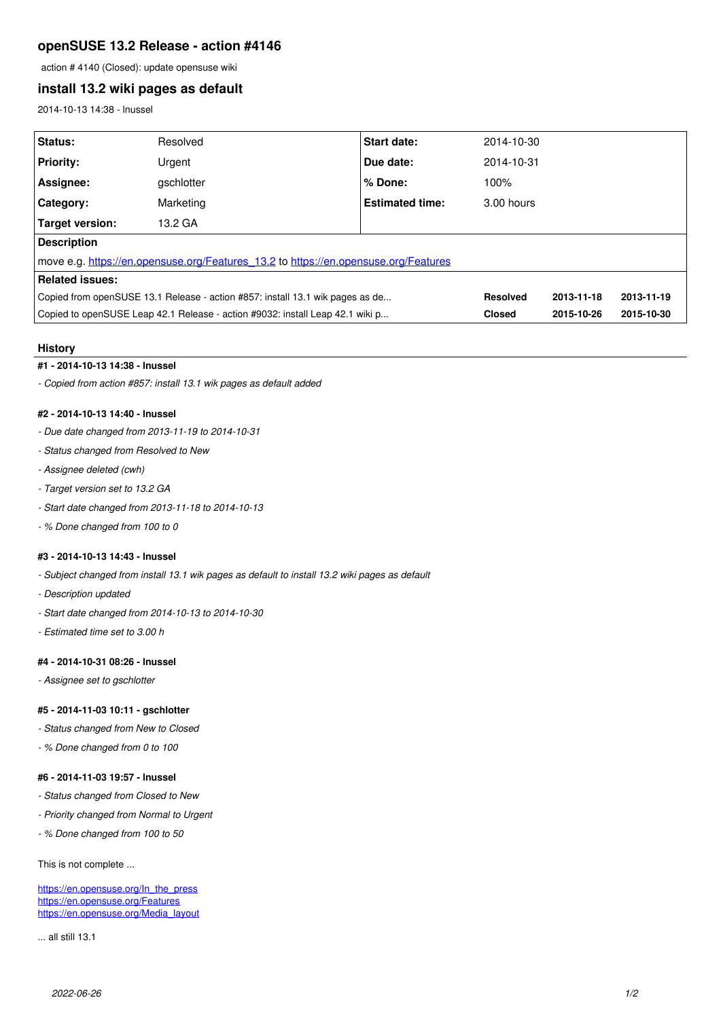# **openSUSE 13.2 Release - action #4146**

action # 4140 (Closed): update opensuse wiki

# **install 13.2 wiki pages as default**

2014-10-13 14:38 - lnussel

| Status:                                                                             | Resolved   | <b>Start date:</b>     | 2014-10-30      |            |            |
|-------------------------------------------------------------------------------------|------------|------------------------|-----------------|------------|------------|
| <b>Priority:</b>                                                                    | Urgent     | Due date:              | 2014-10-31      |            |            |
| Assignee:                                                                           | gschlotter | l % Done:              | 100%            |            |            |
| <b>Category:</b>                                                                    | Marketing  | <b>Estimated time:</b> | 3.00 hours      |            |            |
| <b>Target version:</b>                                                              | 13.2 GA    |                        |                 |            |            |
| <b>Description</b>                                                                  |            |                        |                 |            |            |
| move e.g. https://en.opensuse.org/Features_13.2 to https://en.opensuse.org/Features |            |                        |                 |            |            |
| <b>Related issues:</b>                                                              |            |                        |                 |            |            |
| Copied from openSUSE 13.1 Release - action #857: install 13.1 wik pages as de       |            |                        | <b>Resolved</b> | 2013-11-18 | 2013-11-19 |
| Copied to openSUSE Leap 42.1 Release - action #9032: install Leap 42.1 wiki p       |            |                        | <b>Closed</b>   | 2015-10-26 | 2015-10-30 |

#### **History**

### **#1 - 2014-10-13 14:38 - lnussel**

*- Copied from action #857: install 13.1 wik pages as default added*

### **#2 - 2014-10-13 14:40 - lnussel**

- *Due date changed from 2013-11-19 to 2014-10-31*
- *Status changed from Resolved to New*
- *Assignee deleted (cwh)*
- *Target version set to 13.2 GA*
- *Start date changed from 2013-11-18 to 2014-10-13*
- *% Done changed from 100 to 0*

### **#3 - 2014-10-13 14:43 - lnussel**

- *Subject changed from install 13.1 wik pages as default to install 13.2 wiki pages as default*
- *Description updated*
- *Start date changed from 2014-10-13 to 2014-10-30*
- *Estimated time set to 3.00 h*

#### **#4 - 2014-10-31 08:26 - lnussel**

*- Assignee set to gschlotter*

### **#5 - 2014-11-03 10:11 - gschlotter**

- *Status changed from New to Closed*
- *% Done changed from 0 to 100*

### **#6 - 2014-11-03 19:57 - lnussel**

- *Status changed from Closed to New*
- *Priority changed from Normal to Urgent*
- *% Done changed from 100 to 50*

This is not complete ...

[https://en.opensuse.org/In\\_the\\_press](https://en.opensuse.org/In_the_press) <https://en.opensuse.org/Features> [https://en.opensuse.org/Media\\_layout](https://en.opensuse.org/Media_layout)

... all still 13.1